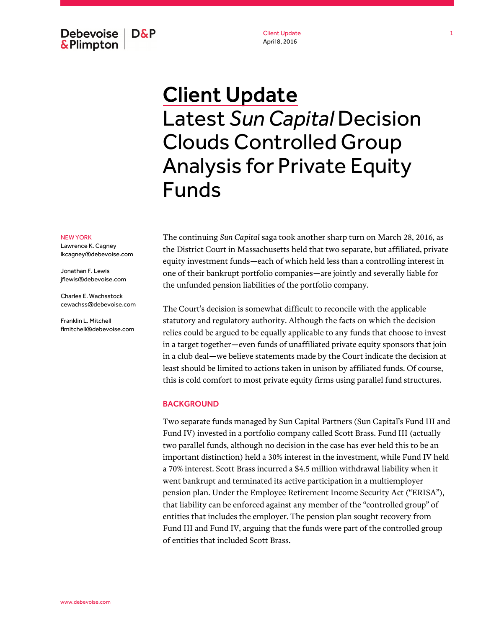Debevoise **D&P &Plimpton** 

Client Update April 8, 2016

# Client Update Latest *Sun Capital* Decision Clouds Controlled Group Analysis for Private Equity Funds

#### NEW YORK

Lawrence K. Cagney lkcagney@debevoise.com

Jonathan F. Lewis jflewis@debevoise.com

Charles E. Wachsstock cewachss@debevoise.com

Franklin L. Mitchell flmitchell@debevoise.com The continuing *Sun Capital* saga took another sharp turn on March 28, 2016, as the District Court in Massachusetts held that two separate, but affiliated, private equity investment funds—each of which held less than a controlling interest in one of their bankrupt portfolio companies—are jointly and severally liable for the unfunded pension liabilities of the portfolio company.

The Court's decision is somewhat difficult to reconcile with the applicable statutory and regulatory authority. Although the facts on which the decision relies could be argued to be equally applicable to any funds that choose to invest in a target together—even funds of unaffiliated private equity sponsors that join in a club deal—we believe statements made by the Court indicate the decision at least should be limited to actions taken in unison by affiliated funds. Of course, this is cold comfort to most private equity firms using parallel fund structures.

#### BACKGROUND

Two separate funds managed by Sun Capital Partners (Sun Capital's Fund III and Fund IV) invested in a portfolio company called Scott Brass. Fund III (actually two parallel funds, although no decision in the case has ever held this to be an important distinction) held a 30% interest in the investment, while Fund IV held a 70% interest. Scott Brass incurred a \$4.5 million withdrawal liability when it went bankrupt and terminated its active participation in a multiemployer pension plan. Under the Employee Retirement Income Security Act ("ERISA"), that liability can be enforced against any member of the "controlled group" of entities that includes the employer. The pension plan sought recovery from Fund III and Fund IV, arguing that the funds were part of the controlled group of entities that included Scott Brass.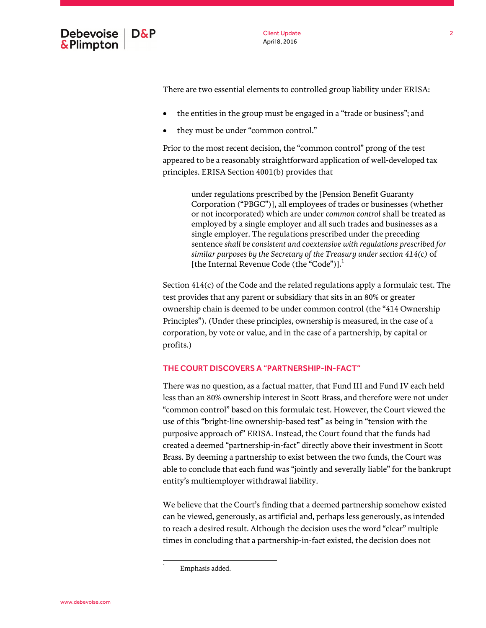

There are two essential elements to controlled group liability under ERISA:

- the entities in the group must be engaged in a "trade or business"; and
- they must be under "common control."

Prior to the most recent decision, the "common control" prong of the test appeared to be a reasonably straightforward application of well-developed tax principles. ERISA Section 4001(b) provides that

> under regulations prescribed by the [Pension Benefit Guaranty Corporation ("PBGC")], all employees of trades or businesses (whether or not incorporated) which are under *common control* shall be treated as employed by a single employer and all such trades and businesses as a single employer. The regulations prescribed under the preceding sentence *shall be consistent and coextensive with regulations prescribed for similar purposes by the Secretary of the Treasury under section 414(c)* of [the Internal Revenue Code (the "Code")]. $<sup>1</sup>$ </sup>

Section 414(c) of the Code and the related regulations apply a formulaic test. The test provides that any parent or subsidiary that sits in an 80% or greater ownership chain is deemed to be under common control (the "414 Ownership Principles"). (Under these principles, ownership is measured, in the case of a corporation, by vote or value, and in the case of a partnership, by capital or profits.)

# THE COURT DISCOVERS A "PARTNERSHIP-IN-FACT"

There was no question, as a factual matter, that Fund III and Fund IV each held less than an 80% ownership interest in Scott Brass, and therefore were not under "common control" based on this formulaic test. However, the Court viewed the use of this "bright-line ownership-based test" as being in "tension with the purposive approach of" ERISA. Instead, the Court found that the funds had created a deemed "partnership-in-fact" directly above their investment in Scott Brass. By deeming a partnership to exist between the two funds, the Court was able to conclude that each fund was "jointly and severally liable" for the bankrupt entity's multiemployer withdrawal liability.

We believe that the Court's finding that a deemed partnership somehow existed can be viewed, generously, as artificial and, perhaps less generously, as intended to reach a desired result. Although the decision uses the word "clear" multiple times in concluding that a partnership-in-fact existed, the decision does not

<sup>1</sup> Emphasis added.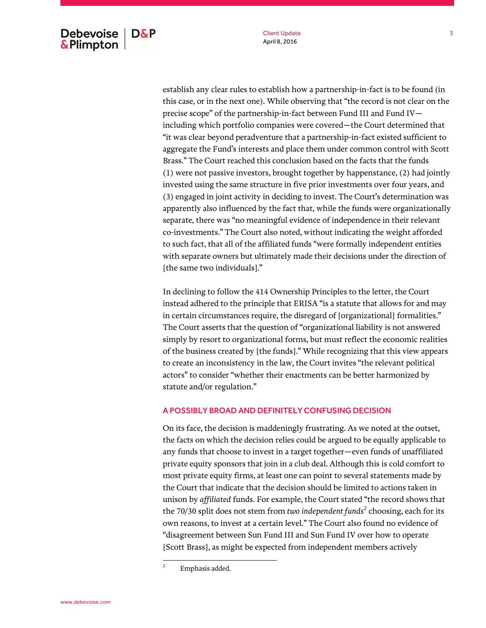establish any clear rules to establish how a partnership-in-fact is to be found (in this case, or in the next one). While observing that "the record is not clear on the precise scope" of the partnership-in-fact between Fund III and Fund IV including which portfolio companies were covered—the Court determined that "it was clear beyond peradventure that a partnership-in-fact existed sufficient to aggregate the Fund's interests and place them under common control with Scott Brass." The Court reached this conclusion based on the facts that the funds (1) were not passive investors, brought together by happenstance, (2) had jointly invested using the same structure in five prior investments over four years, and (3) engaged in joint activity in deciding to invest. The Court's determination was apparently also influenced by the fact that, while the funds were organizationally separate, there was "no meaningful evidence of independence in their relevant co-investments." The Court also noted, without indicating the weight afforded to such fact, that all of the affiliated funds "were formally independent entities with separate owners but ultimately made their decisions under the direction of [the same two individuals]."

In declining to follow the 414 Ownership Principles to the letter, the Court instead adhered to the principle that ERISA "is a statute that allows for and may in certain circumstances require, the disregard of [organizational] formalities." The Court asserts that the question of "organizational liability is not answered simply by resort to organizational forms, but must reflect the economic realities of the business created by [the funds]." While recognizing that this view appears to create an inconsistency in the law, the Court invites "the relevant political actors" to consider "whether their enactments can be better harmonized by statute and/or regulation."

# A POSSIBLY BROAD AND DEFINITELY CONFUSING DECISION

On its face, the decision is maddeningly frustrating. As we noted at the outset, the facts on which the decision relies could be argued to be equally applicable to any funds that choose to invest in a target together—even funds of unaffiliated private equity sponsors that join in a club deal. Although this is cold comfort to most private equity firms, at least one can point to several statements made by the Court that indicate that the decision should be limited to actions taken in unison by *affiliated* funds. For example, the Court stated "the record shows that the 70/30 split does not stem from *two independent funds<sup>2</sup>* choosing, each for its own reasons, to invest at a certain level." The Court also found no evidence of "disagreement between Sun Fund III and Sun Fund IV over how to operate [Scott Brass], as might be expected from independent members actively

<sup>2</sup> Emphasis added.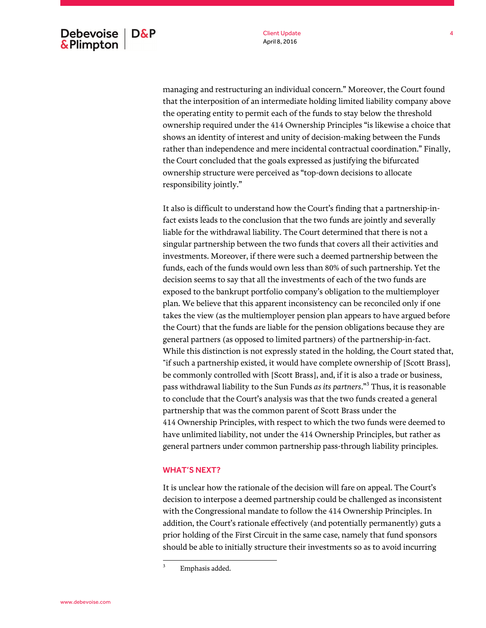managing and restructuring an individual concern." Moreover, the Court found that the interposition of an intermediate holding limited liability company above the operating entity to permit each of the funds to stay below the threshold ownership required under the 414 Ownership Principles "is likewise a choice that shows an identity of interest and unity of decision-making between the Funds rather than independence and mere incidental contractual coordination." Finally, the Court concluded that the goals expressed as justifying the bifurcated ownership structure were perceived as "top-down decisions to allocate responsibility jointly."

It also is difficult to understand how the Court's finding that a partnership-infact exists leads to the conclusion that the two funds are jointly and severally liable for the withdrawal liability. The Court determined that there is not a singular partnership between the two funds that covers all their activities and investments. Moreover, if there were such a deemed partnership between the funds, each of the funds would own less than 80% of such partnership. Yet the decision seems to say that all the investments of each of the two funds are exposed to the bankrupt portfolio company's obligation to the multiemployer plan. We believe that this apparent inconsistency can be reconciled only if one takes the view (as the multiemployer pension plan appears to have argued before the Court) that the funds are liable for the pension obligations because they are general partners (as opposed to limited partners) of the partnership-in-fact. While this distinction is not expressly stated in the holding, the Court stated that, "if such a partnership existed, it would have complete ownership of [Scott Brass], be commonly controlled with [Scott Brass], and, if it is also a trade or business, pass withdrawal liability to the Sun Funds *as its partners*."<sup>3</sup> Thus, it is reasonable to conclude that the Court's analysis was that the two funds created a general partnership that was the common parent of Scott Brass under the 414 Ownership Principles, with respect to which the two funds were deemed to have unlimited liability, not under the 414 Ownership Principles, but rather as general partners under common partnership pass-through liability principles.

### WHAT'S NEXT?

It is unclear how the rationale of the decision will fare on appeal. The Court's decision to interpose a deemed partnership could be challenged as inconsistent with the Congressional mandate to follow the 414 Ownership Principles. In addition, the Court's rationale effectively (and potentially permanently) guts a prior holding of the First Circuit in the same case, namely that fund sponsors should be able to initially structure their investments so as to avoid incurring

<sup>3</sup> Emphasis added.